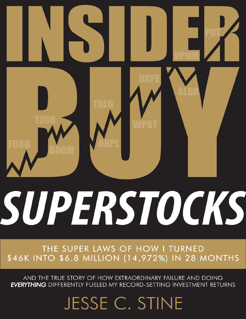# SUPERSTOCKS

THE SUPER LAWS OF HOW I TURNED \$46K INTO \$6.8 MILLION (14,972%) IN 28 MONTHS

AND THE TRUE STORY OF HOW EXTRAORDINARY FAILURE AND DOING **EVERYTHING** DIFFERENTLY FUELED MY RECORD-SETTING INVESTMENT RETURNS

JESSE C. STINE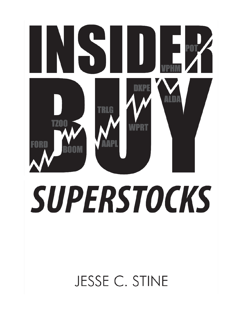# 5 ١ I **P01 INSIDERATION BUG WERT** M **SUPERSTOCKS SUPERSTOCKS**

**JESSE C. STINE**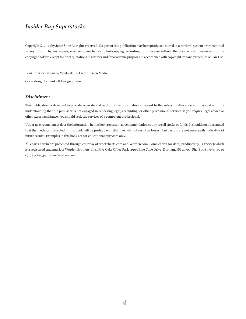Copyright © 2013 by Jesse Stine All rights reserved. No part of this publication may be reproduced, stored in a retrieval system or transmitted in any form or by any means, electronic, mechanical, photocopying, recording, or otherwise without the prior written permission of the copyright holder, except for brief quotations in reviews and for academic purposes in accordance with copyright law and principles of Fair Use.

Book Interior Design by Vyrdolak, By Light Unseen Media

Cover design by Lenka K Design Studio

### *Disclaimer:*

This publication is designed to provide accurate and authoritative information in regard to the subject matter covered. It is sold with the understanding that the publisher is not engaged in rendering legal, accounting, or other professional services. If you require legal advice or other expert assistance, you should seek the services of a competent professional.

Under no circumstances does the information in this book represent a recommendation to buy or sell stocks or funds. It should not be assumed that the methods presented in this book will be profitable or that they will not result in losses. Past results are not necessarily indicative of future results. Examples in this book are for educational purposes only.

All charts herein are presented through courtesy of Stockcharts.com and Worden.com. Some charts (or data) produced by TC2000® which is a registered trademark of Worden Brothers, Inc., Five Oaks Office Park, 4905 Pine Cone Drive, Durham, NC 27707. Ph. (800) 776-4940 or (919) 408-0542. www.Worden.com.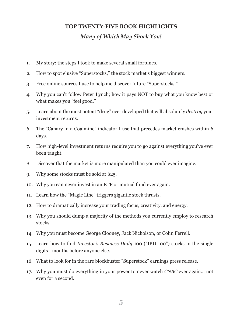### **TOP TWENTY-FIVE BOOK HIGHLIGHTS**

### *Many of Which May Shock You!*

- 1. My story: the steps I took to make several small fortunes.
- 2. How to spot elusive "Superstocks," the stock market's biggest winners.
- 3. Free online sources I use to help me discover future "Superstocks."
- 4. Why you can't follow Peter Lynch; how it pays NOT to buy what you know best or what makes you "feel good."
- 5. Learn about the most potent "drug" ever developed that will absolutely *destroy* your investment returns.
- 6. The "Canary in a Coalmine" indicator I use that precedes market crashes within 6 days.
- 7. How high-level investment returns require you to go against everything you've ever been taught.
- 8. Discover that the market is more manipulated than you could ever imagine.
- 9. Why some stocks must be sold at \$25.
- 10. Why you can never invest in an ETF or mutual fund ever again.
- 11. Learn how the "Magic Line" triggers gigantic stock thrusts.
- 12. How to dramatically increase your trading focus, creativity, and energy.
- 13. Why you should dump a majority of the methods you currently employ to research stocks.
- 14. Why you must become George Clooney, Jack Nicholson, or Colin Ferrell.
- 15. Learn how to find *Investor's Business Daily* 100 ("IBD 100") stocks in the single digits—months before anyone else.
- 16. What to look for in the rare blockbuster "Superstock" earnings press release.
- 17. Why you must do everything in your power to never watch *CNBC* ever again… not even for a second.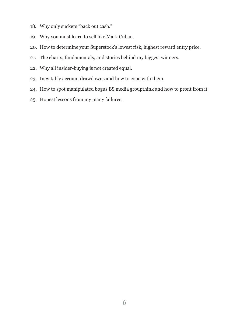- 18. Why only suckers "back out cash."
- 19. Why you must learn to sell like Mark Cuban.
- 20. How to determine your Superstock's lowest risk, highest reward entry price.
- 21. The charts, fundamentals, and stories behind my biggest winners.
- 22. Why all insider-buying is not created equal.
- 23. Inevitable account drawdowns and how to cope with them.
- 24. How to spot manipulated bogus BS media groupthink and how to profit from it.
- 25. Honest lessons from my many failures.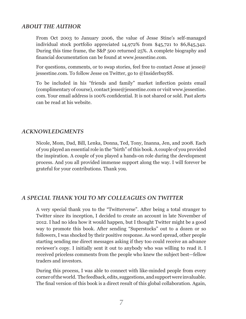## *ABOUT THE AUTHOR*

From Oct 2003 to January 2006, the value of Jesse Stine's self-managed individual stock portfolio appreciated 14,972% from \$45,721 to \$6,845,342. During this time frame, the S&P 500 returned 25%. A complete biography and financial documentation can be found at www.jessestine.com.

For questions, comments, or to swap stories, feel free to contact Jesse at jesse@ jessestine.com. To follow Jesse on Twitter, go to @InsiderbuySS.

To be included in his "friends and family" market inflection points email (complimentary of course), contact jesse@jessestine.com or visit www.jessestine. com. Your email address is 100% confidential. It is not shared or sold. Past alerts can be read at his website.

### *ACKNOWLEDGMENTS*

Nicole, Mom, Dad, Bill, Lenka, Donna, Ted, Tony, Inanna, Jen, and 2008. Each of you played an essential role in the "birth" of this book. A couple of you provided the inspiration. A couple of you played a hands-on role during the development process. And you all provided immense support along the way. I will forever be grateful for your contributions. Thank you.

# *A SPECIAL THANK YOU TO MY COLLEAGUES ON TWITTER*

A very special thank you to the "Twitterverse". After being a total stranger to Twitter since its inception, I decided to create an account in late November of 2012. I had no idea how it would happen, but I thought Twitter might be a good way to promote this book. After sending "Superstocks" out to a dozen or so followers, I was shocked by their positive response. As word spread, other people starting sending me direct messages asking if they too could receive an advance reviewer's copy. I initially sent it out to anybody who was willing to read it. I received priceless comments from the people who knew the subject best—fellow traders and investors.

During this process, I was able to connect with like-minded people from every corner of the world. The feedback, edits, suggestions, and support were invaluable. The final version of this book is a direct result of this global collaboration. Again,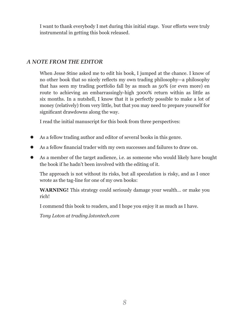I want to thank everybody I met during this initial stage. Your efforts were truly instrumental in getting this book released.

# *A NOTE FROM THE EDITOR*

When Jesse Stine asked me to edit his book, I jumped at the chance. I know of no other book that so nicely reflects my own trading philosophy—a philosophy that has seen my trading portfolio fall by as much as 50% (or even more) en route to achieving an embarrassingly-high 3000% return within as little as six months. In a nutshell, I know that it is perfectly possible to make a lot of money (relatively) from very little, but that you may need to prepare yourself for significant drawdowns along the way.

I read the initial manuscript for this book from three perspectives:

- As a fellow trading author and editor of several books in this genre.
- As a fellow financial trader with my own successes and failures to draw on.
- As a member of the target audience, i.e. as someone who would likely have bought the book if he hadn't been involved with the editing of it.

The approach is not without its risks, but all speculation is risky, and as I once wrote as the tag-line for one of my own books:

**WARNING!** This strategy could seriously damage your wealth… or make you rich!

I commend this book to readers, and I hope you enjoy it as much as I have.

*Tony Loton at trading.lotontech.com*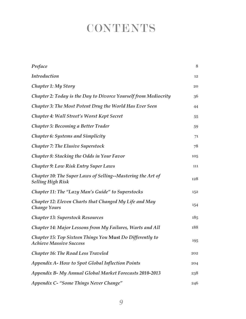# **CONTENTS**

| Preface                                                                                     | 8   |
|---------------------------------------------------------------------------------------------|-----|
| <b>Introduction</b>                                                                         | 12  |
| <b>Chapter 1: My Story</b>                                                                  | 20  |
| Chapter 2: Today is the Day to Divorce Yourself from Mediocrity                             | 36  |
| Chapter 3: The Most Potent Drug the World Has Ever Seen                                     | 44  |
| Chapter 4: Wall Street's Worst Kept Secret                                                  | 55  |
| Chapter 5: Becoming a Better Trader                                                         | 59  |
| <b>Chapter 6: Systems and Simplicity</b>                                                    | 71  |
| <b>Chapter 7: The Elusive Superstock</b>                                                    | 78  |
| <b>Chapter 8: Stacking the Odds in Your Favor</b>                                           | 105 |
| <b>Chapter 9: Low Risk Entry Super Laws</b>                                                 | 111 |
| Chapter 10: The Super Laws of Selling--Mastering the Art of<br><b>Selling High Risk</b>     | 128 |
| Chapter 11: The "Lazy Man's Guide" to Superstocks                                           | 152 |
| Chapter 12: Eleven Charts that Changed My Life and May<br><b>Change Yours</b>               | 154 |
| <b>Chapter 13: Superstock Resources</b>                                                     | 185 |
| Chapter 14: Major Lessons from My Failures, Warts and All                                   | 188 |
| Chapter 15: Top Sixteen Things You Must Do Differently to<br><b>Achieve Massive Success</b> | 195 |
| <b>Chapter 16: The Road Less Traveled</b>                                                   | 202 |
| <b>Appendix A- How to Spot Global Inflection Points</b>                                     | 204 |
| <b>Appendix B- My Annual Global Market Forecasts 2010-2013</b>                              | 238 |
| Appendix C- "Some Things Never Change"                                                      | 246 |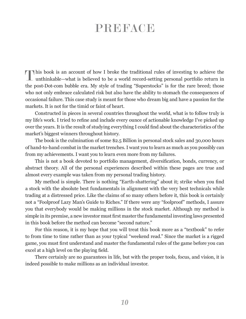# PREFACE

T his book is an account of how I broke the traditional rules of investing to achieve the unthinkable—what is believed to be a world record-setting personal portfolio return in the post-Dot-com bubble era. My style of trading "Superstocks" is for the rare breed; those who not only embrace calculated risk but also have the ability to stomach the consequences of occasional failure. This case study is meant for those who dream big and have a passion for the markets. It is not for the timid or faint of heart.

Constructed in pieces in several countries throughout the world, what is to follow truly is my life's work. I tried to refine and include every ounce of actionable knowledge I've picked up over the years. It is the result of studying everything I could find about the characteristics of the market's biggest winners throughout history.

The book is the culmination of some \$2.5 Billion in personal stock sales and 30,000 hours of hand-to-hand combat in the market trenches. I want you to learn as much as you possibly can from my achievements. I want you to learn even more from my failures.

This is not a book devoted to portfolio management, diversification, bonds, currency, or abstract theory. All of the personal experiences described within these pages are true and almost every example was taken from my personal trading history.

My method is simple. There is nothing "Earth-shattering" about it; strike when you find a stock with the absolute best fundamentals in alignment with the very best technicals while trading at a distressed price. Like the claims of so many others before it, this book is certainly not a "Foolproof Lazy Man's Guide to Riches." If there were any "foolproof" methods, I assure you that everybody would be making millions in the stock market. Although my method is simple in its premise, a new investor must first master the fundamental investing laws presented in this book before the method can become "second nature."

For this reason, it is my hope that you will treat this book more as a "textbook" to refer to from time to time rather than as your typical "weekend read." Since the market is a rigged game, you must first understand and master the fundamental rules of the game before you can excel at a high level on the playing field.

There certainly are no guarantees in life, but with the proper tools, focus, and vision, it is indeed possible to make millions as an individual investor.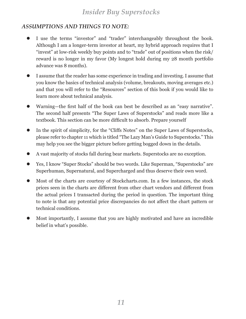# *ASSUMPTIONS AND THINGS TO NOTE:*

- z I use the terms "investor" and "trader" interchangeably throughout the book. Although I am a longer-term investor at heart, my hybrid approach requires that I "invest" at low-risk weekly buy points and to "trade" out of positions when the risk/ reward is no longer in my favor (My longest hold during my 28 month portfolio advance was 8 months).
- I assume that the reader has some experience in trading and investing. I assume that you know the basics of technical analysis (volume, breakouts, moving averages etc.) and that you will refer to the "Resources" section of this book if you would like to learn more about technical analysis.
- Warning—the first half of the book can best be described as an "easy narrative". The second half presents "The Super Laws of Superstocks" and reads more like a textbook. This section can be more difficult to absorb. Prepare yourself
- In the spirit of simplicity, for the "Cliffs Notes" on the Super Laws of Superstocks, please refer to chapter 11 which is titled "The Lazy Man's Guide to Superstocks." This may help you see the bigger picture before getting bogged down in the details.
- A vast majority of stocks fall during bear markets. Superstocks are no exception.
- z Yes, I know "Super Stocks" should be two words. Like Superman, "Superstocks" are Superhuman, Supernatural, and Supercharged and thus deserve their own word.
- Most of the charts are courtesy of Stockcharts.com. In a few instances, the stock prices seen in the charts are different from other chart vendors and different from the actual prices I transacted during the period in question. The important thing to note is that any potential price discrepancies do not affect the chart pattern or technical conditions.
- Most importantly, I assume that you are highly motivated and have an incredible belief in what's possible.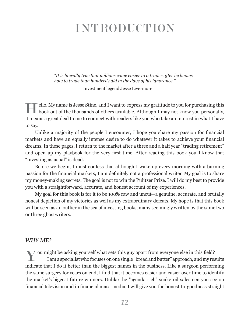# INTRODUCTION

*"It is literally true that millions come easier to a trader after he knows how to trade than hundreds did in the days of his ignorance."*

Investment legend Jesse Livermore

ello. My name is Jesse Stine, and I want to express my gratitude to you for purchasing this book out of the thousands of others available. Although I may not know you personally, ello. My name is Jesse Stine, and I want to express my gratitude to you for purchasing this it means a great deal to me to connect with readers like you who take an interest in what I have to say.

Unlike a majority of the people I encounter, I hope you share my passion for financial markets and have an equally intense desire to do whatever it takes to achieve your financial dreams. In these pages, I return to the market after a three and a half year "trading retirement" and open up my playbook for the very first time. After reading this book you'll know that "investing as usual" is dead.

Before we begin, I must confess that although I wake up every morning with a burning passion for the financial markets, I am definitely not a professional writer. My goal is to share my money-making secrets. The goal is not to win the Pulitzer Prize. I will do my best to provide you with a straightforward, accurate, and honest account of my experiences.

My goal for this book is for it to be 100% raw and uncut—a genuine, accurate, and brutally honest depiction of my victories as well as my extraordinary defeats. My hope is that this book will be seen as an outlier in the sea of investing books, many seemingly written by the same two or three ghostwriters.

### *WHY ME?*

Y ou might be asking yourself what sets this guy apart from everyone else in this field? I am a specialist who focuses on one single "bread and butter" approach, and my results indicate that I do it better than the biggest names in the business. Like a surgeon performing the same surgery for years on end, I find that it becomes easier and easier over time to identify the market's biggest future winners. Unlike the "agenda-rich" snake-oil salesmen you see on financial television and in financial mass-media, I will give you the honest-to-goodness straight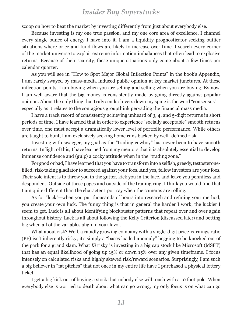scoop on how to beat the market by investing differently from just about everybody else.

Because investing is my one true passion, and my one core area of excellence, I channel every single ounce of energy I have into it. I am a liquidity prognosticator seeking outlier situations where price and fund flows are likely to increase over time. I search every corner of the market universe to exploit extreme information imbalances that often lead to explosive returns. Because of their scarcity, these unique situations only come about a few times per calendar quarter.

As you will see in "How to Spot Major Global Inflection Points" in the book's Appendix, I am rarely swayed by mass-media induced public opinion at key market junctures. At these inflection points, I am buying when you are selling and selling when you are buying. By now, I am well aware that the big money is consistently made by going directly against popular opinion. About the only thing that truly sends shivers down my spine is the word "consensus" especially as it relates to the contagious groupthink pervading the financial mass media.

I have a track record of consistently achieving unheard of 3, 4, and 5-digit returns in short periods of time. I have learned that in order to experience "socially acceptable" smooth returns over time, one must accept a dramatically lower level of portfolio performance. While others are taught to bunt, I am exclusively seeking home runs backed by well- defined risk.

Investing with swagger, my goal as the "trading cowboy" has never been to have smooth returns. In light of this, I have learned from my mentors that it is absolutely essential to develop immense confidence and (gulp) a cocky attitude when in the "trading zone."

For good or bad, I have learned that you have to transform into a selfish, greedy, testosteronefilled, risk-taking gladiator to succeed against your foes. And yes, fellow investors are your foes. Their sole intent is to throw you in the gutter, kick you in the face, and leave you penniless and despondent. Outside of these pages and outside of the trading ring, I think you would find that I am quite different than the character I portray when the cameras are rolling.

As for "luck"—when you put thousands of hours into research and refining your method, you create your own luck. The funny thing is that in general the harder I work, the luckier I seem to get. Luck is all about identifying blockbuster patterns that repeat over and over again throughout history. Luck is all about following the Kelly Criterion (discussed later) and betting big when all of the variables align in your favor.

What about risk? Well, a rapidly growing company with a single-digit price-earnings ratio (PE) isn't inherently risky; it's simply a "bases loaded anomaly" begging to be knocked out of the park for a grand slam. What *IS* risky is investing in a big cap stock like Microsoft (MSFT) that has an equal likelihood of going up 15% or down 15% over any given timeframe. I focus intensely on calculated risks and highly skewed risk/reward scenarios. Surprisingly, I am such a big believer in "fat pitches" that not once in my entire life have I purchased a physical lottery ticket.

I get a big kick out of buying a stock that nobody else will touch with a 10 foot pole. When everybody else is worried to death about what can go wrong, my only focus is on what can go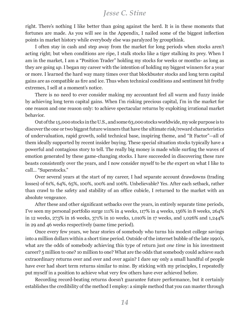*Jesse C. Stine*

right. There's nothing I like better than going against the herd. It is in these moments that fortunes are made. As you will see in the Appendix, I nailed some of the biggest inflection points in market history while everybody else was paralyzed by groupthink.

I often stay in cash and step away from the market for long periods when stocks aren't acting right; but when conditions are ripe, I stalk stocks like a tiger stalking its prey. When I am in the market, I am a "Position Trader" holding my stocks for weeks or months- as long as they are going *up.* I began my career with the intention of holding my biggest winners for a year or more. I learned the hard way many times over that blockbuster stocks and long term capital gains are as compatible as fire and ice. Thus when technical conditions and sentiment hit frothy extremes, I sell at a moment's notice.

There is no need to ever consider making my accountant feel all warm and fuzzy inside by achieving long term capital gains. When I'm risking precious capital, I'm in the market for one reason and one reason only: to achieve spectacular returns by exploiting irrational market behavior.

Out of the 15,000 stocks in the U.S., and some 63,000 stocks worldwide, my sole purpose is to discover the one or two biggest future winners that have the ultimate risk/reward characteristics of undervaluation, rapid growth, solid technical base, inspiring theme, and "It Factor"—all of them ideally supported by recent insider buying. These special situation stocks typically have a powerful and contagious story to tell. The really big money is made while surfing the waves of emotion generated by these game-changing stocks. I have succeeded in discovering these rare beasts consistently over the years, and I now consider myself to be *the* expert on what I like to call… "Superstocks."

Over several years at the start of my career, I had separate account drawdowns (trading losses) of 61%, 64%, 65%, 100%, 100% and 106%. Unbelievable? Yes. After each setback, rather than crawl to the safety and stability of an office cubicle, I returned to the market with an absolute vengeance.

After these and other significant setbacks over the years, in entirely separate time periods, I've seen my personal portfolio surge 111% in 4 weeks, 117% in 4 weeks, 156% in 8 weeks, 264% in 12 weeks, 273% in 16 weeks, 371% in 10 weeks, 1,010% in 17 weeks, and 1,026% and 1,244% in 29 and 46 weeks respectively (same time period).

Once every few years, we hear stories of somebody who turns his modest college savings into a million dollars within a short time period. Outside of the internet bubble of the late 1990's, what are the odds of somebody achieving this type of return just *one time* in his investment career? 5 million to one? 10 million to one? What are the odds that somebody could achieve such extraordinary returns over and over and over again? I dare say only a small handful of people have ever had short term returns similar to mine. By sticking with my principles, I repeatedly put myself in a position to achieve what very few others have ever achieved before.

Recording record-beating returns doesn't guarantee future performance, but it certainly establishes the credibility of the method I employ: a simple method that you can master through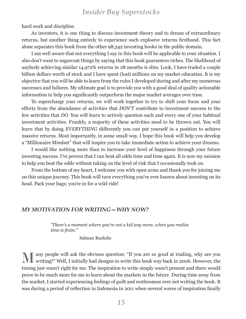hard work and discipline.

As investors, it is one thing to discuss investment theory and to dream of extraordinary returns, but another thing entirely to experience such explosive returns firsthand. This fact alone separates this book from the other 98,342 investing books in the public domain.

I am well aware that not everything I say in this book will be applicable to your situation. I also don't want to sugarcoat things by saying that this book guarantees riches. The likelihood of anybody achieving similar 14,972% returns in 28 months is slim. Look, I have traded a couple billion dollars worth of stock and I have spent (lost) millions on my market education. It is my objective that you will be able to learn from the rules I developed during and after my numerous successes and failures. My ultimate goal is to provide you with a good deal of quality actionable information to help you significantly outperform the major market averages over time.

To supercharge your returns, we will work together to try to shift your focus and your efforts from the abundance of activities that *DON'T* contribute to investment success to the few activities that *DO.* You will learn to actively question each and every one of your habitual investment activities. Frankly, a majority of these activities need to be thrown out. You will learn that by doing *EVERYTHING* differently you can put yourself in a position to achieve massive returns. Most importantly, in some small way, I hope this book will help you develop a "Millionaire Mindset" that will inspire you to take immediate action to achieve your dreams.

I would like nothing more than to increase your level of happiness through your future investing success. I've proven that I can beat all odds time and time again. It is now my mission to help you beat the odds without taking on the level of risk that I occasionally took on.

From the bottom of my heart, I welcome you with open arms and thank you for joining me on this unique journey. This book will turn everything you've ever known about investing on its head. Pack your bags; you're in for a wild ride!

### *MY MOTIVATION FOR WRITING—WHY NOW?*

*"There's a moment where you're not a kid any more, when you realize time is finite."*

Salman Rushdie

M any people will ask the obvious question: "If you are so good at trading, why are you writing?" Well, I initially had designs to write this book way back in 2006. However, the timing just wasn't right for me. The inspiration to write simply wasn't present and there would prove to be much more for me to learn about the markets in the future. During time away from the market, I started experiencing feelings of guilt and restlessness over not writing the book. It was during a period of reflection in Indonesia in 2011 when several waves of inspiration finally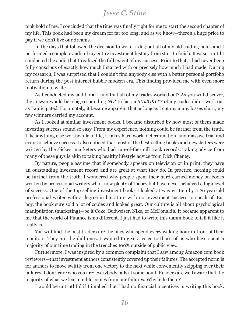# *Jesse C. Stine*

took hold of me. I concluded that the time was finally right for me to start the second chapter of my life. This book had been my dream for far too long, and as we know—there's a huge price to pay if we don't live our dreams.

In the days that followed the decision to write, I dug out all of my old trading notes and I performed a complete audit of my entire investment history from start to finish. It wasn't until I conducted the audit that I realized the full extent of my success. Prior to that, I had never been fully conscious of exactly how much I started with or precisely how much I had made. During my research, I was surprised that I couldn't find anybody else with a better personal portfolio return during the post internet bubble modern era. This finding provided me with even more motivation to write.

As I conducted my audit, did I find that all of my trades worked out? As you will discover, the answer would be a big resounding *NO!* In fact, a *MAJORITY* of my trades didn't work out as I anticipated. Fortunately, it became apparent that as long as I cut my many losses short, my few winners carried my account.

As I looked at similar investment books, I became disturbed by how most of them made investing success sound so easy. From my experience, nothing could be further from the truth. Like anything else worthwhile in life, it takes hard work, determination, and massive trial and error to achieve success. I also noticed that most of the best-selling books and newsletters were written by the slickest marketers who had run-of-the-mill track records. Taking advice from many of these guys is akin to taking healthy lifestyle advice from Dick Cheney.

By nature, people assume that if somebody appears on television or in print, they have an outstanding investment record and are great at what they do. In practice, nothing could be further from the truth. I wondered why people spent their hard earned money on books written by professional writers who know plenty of theory but have never achieved a high level of success. One of the top selling investment books I looked at was written by a 26 year-old professional writer with a degree in literature with no investment success to speak of. But boy, the book sure sold a lot of copies and looked great. Our culture is all about psychological manipulation (marketing)—be it Coke, Budweiser, Nike, or McDonald's. It became apparent to me that the world of Finance is no different. I just had to write this damn book to tell it like it really is.

You will find the best traders are the ones who spend every waking hour in front of their monitors. They are the dull ones. I wanted to give a voice to those of us who have spent a majority of our time trading in the trenches 100% outside of public view.

Furthermore, I was inspired by a common complaint that I saw among Amazon.com book reviewers—that investment authors consistently covered up their failures. The accepted norm is for authors to move swiftly from one victory to the next while conveniently skipping over their failures. I don't care who you are; everybody fails at some point. Readers are well aware that the majority of what we learn in life comes from our failures. Why hide them?

I would be untruthful if I implied that I had no financial incentives in writing this book.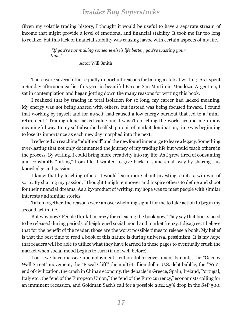Given my volatile trading history, I thought it would be useful to have a separate stream of income that might provide a level of emotional and financial stability. It took me far too long to realize, but this lack of financial stability was causing havoc with certain aspects of my life.

> *"If you're not making someone else's life better, you're wasting your time."*

> > Actor Will Smith

There were several other equally important reasons for taking a stab at writing. As I spent a Sunday afternoon earlier this year in beautiful Parque San Martin in Mendoza, Argentina, I sat in contemplation and began jotting down the many reasons for writing this book.

I realized that by trading in total isolation for so long, my career had lacked meaning. My energy was not being shared with others, but instead was being focused inward. I found that working by myself and for myself, had caused a low energy burnout that led to a "miniretirement." Trading alone lacked value and I wasn't enriching the world around me in any meaningful way. In my self-absorbed selfish pursuit of market domination, time was beginning to lose its importance as each new day morphed into the next.

I reflected on reaching "adulthood" and the newfound inner urge to leave a legacy. Something ever-lasting that not only documented the journey of my trading life but would teach others in the process. By writing, I could bring more creativity into my life. As I grew tired of consuming and constantly "taking" from life, I wanted to give back in some small way by sharing this knowledge and passion.

I knew that by teaching others, I would learn more about investing, so it's a win-win of sorts. By sharing my passion, I thought I might empower and inspire others to define and shoot for their financial dreams. As a by-product of writing, my hope was to meet people with similar interests and similar stories.

Taken together, the reasons were an overwhelming signal for me to take action to begin my second act in life.

But why now? People think I'm crazy for releasing the book now. They say that books need to be released during periods of heightened social mood and market frenzy. I disagree. I believe that for the benefit of the reader, those are the worst possible times to release a book. My belief is that the best time to read a book of this nature is during universal pessimism. It is my hope that readers will be able to utilize what they have learned in these pages to eventually crush the market when social mood begins to turn (if not well before).

Look, we have massive unemployment, trillion dollar government bailouts, the "Occupy Wall Street" movement, the "Fiscal Cliff," the multi-trillion dollar U.S. debt bubble, the "2012" end of civilization, the crash in China's economy, the debacle in Greece, Spain, Ireland, Portugal, Italy etc., the "end of the European Union," the "end of the Euro currency," economists calling for an imminent recession, and Goldman Sach's call for a possible 2012 25% drop in the S+P 500.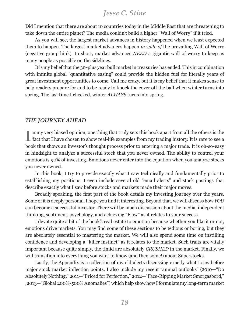*Jesse C. Stine*

Did I mention that there are about 10 countries today in the Middle East that are threatening to take down the entire planet? The media couldn't build a higher "Wall of Worry" if it tried.

As you will see, the largest market advances in history happened when we least expected them to happen. The largest market advances happen *in spite of* the prevailing Wall of Worry (negative groupthink). In short, market advances *NEED* a gigantic wall of worry to keep as many people as possible on the sidelines.

It is my belief that the 30-plus year bull market in treasuries has ended. This in combination with infinite global "quantitative easing" could provide the hidden fuel for literally years of great investment opportunities to come. Call me crazy, but it is my belief that it makes sense to help readers prepare for and to be ready to knock the cover off the ball when winter turns into spring. The last time I checked, winter *ALWAYS* turns into spring.

### *THE JOURNEY AHEAD*

In my very biased opinion, one thing that truly sets this book apart from all the others is the fact that I have chosen to show real-life examples from my trading history. It is rare to see a n my very biased opinion, one thing that truly sets this book apart from all the others is the book that shows an investor's thought process prior to entering a major trade. It is oh-so-easy in hindsight to analyze a successful stock that you never owned. The ability to control your emotions is 90% of investing. Emotions never enter into the equation when you analyze stocks you never owned.

In this book, I try to provide exactly what I saw technically and fundamentally prior to establishing my positions. I even include several old "email alerts" and stock postings that describe exactly what I saw before stocks and markets made their major moves.

Broadly speaking, the first part of the book details my investing journey over the years. Some of it is deeply personal. I hope you find it interesting. Beyond that, we will discuss how *YOU* can become a successful investor. There will be much discussion about the media, independent thinking, sentiment, psychology, and achieving "Flow" as it relates to your success.

I devote quite a bit of the book's real estate to emotion because whether you like it or not, emotions drive markets. You may find some of these sections to be tedious or boring, but they are absolutely essential to mastering the market. We will also spend some time on instilling confidence and developing a "killer instinct" as it relates to the market. Such traits are vitally important because quite simply, the timid are absolutely *CRUSHED* in the market. Finally, we will transition into everything you want to know (and then some!) about Superstocks.

Lastly, the Appendix is a collection of my old alerts discussing exactly what I saw before major stock market inflection points. I also include my recent "annual outlooks" (2010—"Do Absolutely Nothing," 2011—"Priced for Perfection," 2012—"Face-Ripping Market Smorgasbord," ,2013—"Global 200%-500% Anomalies") which help show how I formulate my long-term market